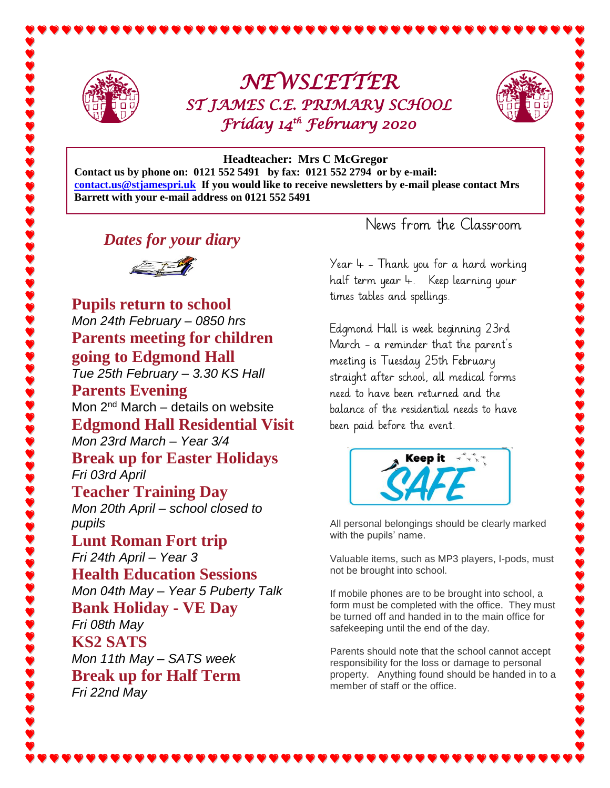

## *NEWSLETTER ST JAMES C.E. PRIMARY SCHOOL Friday 14th February 2020*



## **Headteacher: Mrs C McGregor**

**Contact us by phone on: 0121 552 5491 by fax: 0121 552 2794 or by e-mail: [contact.us@stjamespri.uk](mailto:contact.us@stjamespri.uk) If you would like to receive newsletters by e-mail please contact Mrs Barrett with your e-mail address on 0121 552 5491**

*Dates for your diary*



**Pupils return to school** *Mon 24th February – 0850 hrs* **Parents meeting for children going to Edgmond Hall** *Tue 25th February – 3.30 KS Hall* **Parents Evening** Mon  $2<sup>nd</sup> March – details on website$ **Edgmond Hall Residential Visit** *Mon 23rd March – Year 3/4*  **Break up for Easter Holidays** *Fri 03rd April* **Teacher Training Day** *Mon 20th April – school closed to pupils* **Lunt Roman Fort trip** *Fri 24th April – Year 3* **Health Education Sessions** *Mon 04th May – Year 5 Puberty Talk* **Bank Holiday - VE Day** *Fri 08th May* **KS2 SATS** *Mon 11th May – SATS week* **Break up for Half Term** *Fri 22nd May*

News from the Classroom

Year  $4 -$  Thank you for a hard working half term year 4. Keep learning your times tables and spellings.

Edgmond Hall is week beginning 23rd March - a reminder that the parent's meeting is Tuesday 25th February straight after school, all medical forms need to have been returned and the balance of the residential needs to have been paid before the event.



All personal belongings should be clearly marked with the pupils' name.

Valuable items, such as MP3 players, I-pods, must not be brought into school.

If mobile phones are to be brought into school, a form must be completed with the office. They must be turned off and handed in to the main office for safekeeping until the end of the day.

Parents should note that the school cannot accept responsibility for the loss or damage to personal property. Anything found should be handed in to a member of staff or the office.